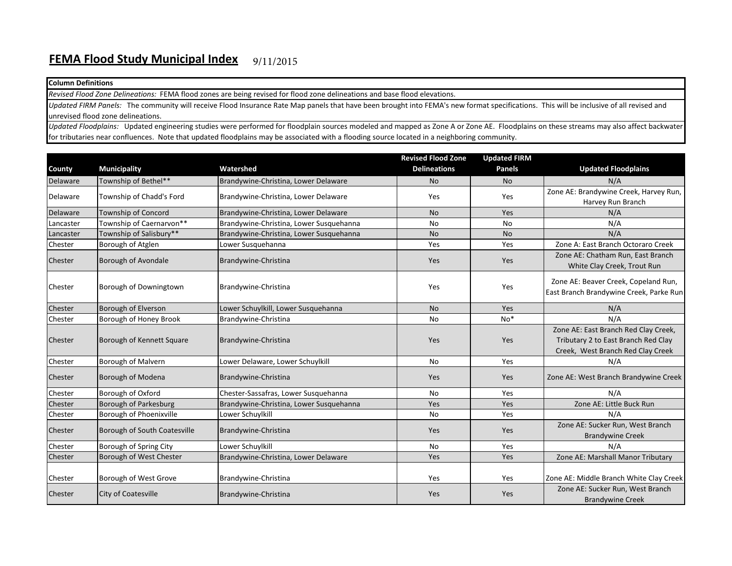## **Column Definitions**

*Revised Flood Zone Delineations:* FEMA flood zones are being revised for flood zone delineations and base flood elevations.

*Updated FIRM Panels:* The community will receive Flood Insurance Rate Map panels that have been brought into FEMA's new format specifications. This will be inclusive of all revised and unrevised flood zone delineations.

*Updated Floodplains:* Updated engineering studies were performed for floodplain sources modeled and mapped as Zone A or Zone AE. Floodplains on these streams may also affect backwater for tributaries near confluences. Note that updated floodplains may be associated with a flooding source located in a neighboring community.

|           |                              |                                         | <b>Revised Flood Zone</b> | <b>Updated FIRM</b> |                                                                                                                  |
|-----------|------------------------------|-----------------------------------------|---------------------------|---------------------|------------------------------------------------------------------------------------------------------------------|
| County    | <b>Municipality</b>          | Watershed                               | <b>Delineations</b>       | <b>Panels</b>       | <b>Updated Floodplains</b>                                                                                       |
| Delaware  | Township of Bethel**         | Brandywine-Christina, Lower Delaware    | <b>No</b>                 | <b>No</b>           | N/A                                                                                                              |
| Delaware  | Township of Chadd's Ford     | Brandywine-Christina, Lower Delaware    | Yes                       | Yes                 | Zone AE: Brandywine Creek, Harvey Run,                                                                           |
|           |                              |                                         |                           |                     | Harvey Run Branch                                                                                                |
| Delaware  | <b>Township of Concord</b>   | Brandywine-Christina, Lower Delaware    | <b>No</b>                 | Yes                 | N/A                                                                                                              |
| Lancaster | Township of Caernarvon**     | Brandywine-Christina, Lower Susquehanna | <b>No</b>                 | <b>No</b>           | N/A                                                                                                              |
| Lancaster | Township of Salisbury**      | Brandywine-Christina, Lower Susquehanna | <b>No</b>                 | <b>No</b>           | N/A                                                                                                              |
| Chester   | Borough of Atglen            | Lower Susquehanna                       | Yes                       | Yes                 | Zone A: East Branch Octoraro Creek                                                                               |
| Chester   | Borough of Avondale          | Brandywine-Christina                    | Yes                       | Yes                 | Zone AE: Chatham Run, East Branch<br>White Clay Creek, Trout Run                                                 |
| Chester   | Borough of Downingtown       | Brandywine-Christina                    | Yes                       | Yes                 | Zone AE: Beaver Creek, Copeland Run,<br>East Branch Brandywine Creek, Parke Run                                  |
| Chester   | Borough of Elverson          | Lower Schuylkill, Lower Susquehanna     | <b>No</b>                 | Yes                 | N/A                                                                                                              |
| Chester   | Borough of Honey Brook       | Brandywine-Christina                    | <b>No</b>                 | $No*$               | N/A                                                                                                              |
| Chester   | Borough of Kennett Square    | Brandywine-Christina                    | Yes                       | Yes                 | Zone AE: East Branch Red Clay Creek,<br>Tributary 2 to East Branch Red Clay<br>Creek, West Branch Red Clay Creek |
| Chester   | <b>Borough of Malvern</b>    | Lower Delaware, Lower Schuylkill        | No                        | Yes                 | N/A                                                                                                              |
| Chester   | Borough of Modena            | Brandywine-Christina                    | Yes                       | Yes                 | Zone AE: West Branch Brandywine Creek                                                                            |
| Chester   | Borough of Oxford            | Chester-Sassafras, Lower Susquehanna    | <b>No</b>                 | Yes                 | N/A                                                                                                              |
| Chester   | Borough of Parkesburg        | Brandywine-Christina, Lower Susquehanna | Yes                       | Yes                 | Zone AE: Little Buck Run                                                                                         |
| Chester   | Borough of Phoenixville      | Lower Schuylkill                        | <b>No</b>                 | Yes                 | N/A                                                                                                              |
| Chester   | Borough of South Coatesville | Brandywine-Christina                    | Yes                       | Yes                 | Zone AE: Sucker Run, West Branch<br><b>Brandywine Creek</b>                                                      |
| Chester   | Borough of Spring City       | Lower Schuylkill                        | <b>No</b>                 | Yes                 | N/A                                                                                                              |
| Chester   | Borough of West Chester      | Brandywine-Christina, Lower Delaware    | Yes                       | Yes                 | Zone AE: Marshall Manor Tributary                                                                                |
| Chester   | Borough of West Grove        | Brandywine-Christina                    | Yes                       | Yes                 | Zone AE: Middle Branch White Clay Creek                                                                          |
| Chester   | City of Coatesville          | Brandywine-Christina                    | Yes                       | Yes                 | Zone AE: Sucker Run, West Branch<br><b>Brandywine Creek</b>                                                      |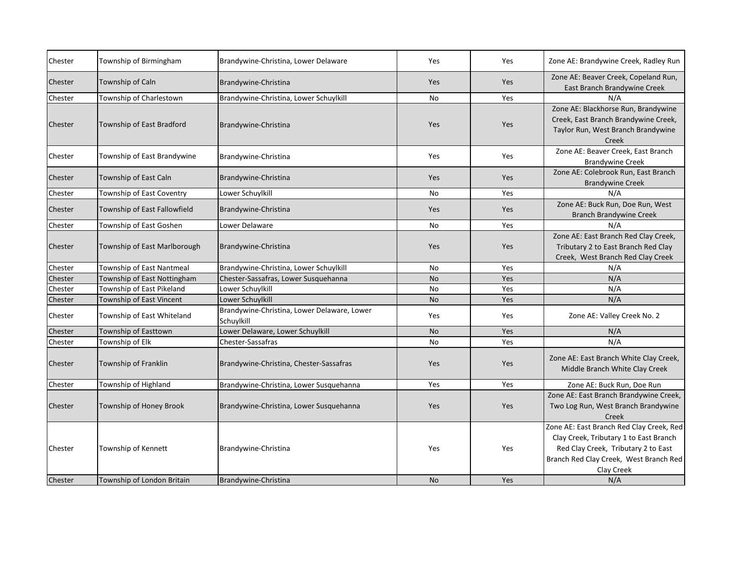| Chester | Township of Birmingham       | Brandywine-Christina, Lower Delaware                      | Yes       | Yes | Zone AE: Brandywine Creek, Radley Run                                                                                                                                             |
|---------|------------------------------|-----------------------------------------------------------|-----------|-----|-----------------------------------------------------------------------------------------------------------------------------------------------------------------------------------|
| Chester | Township of Caln             | Brandywine-Christina                                      | Yes       | Yes | Zone AE: Beaver Creek, Copeland Run,<br>East Branch Brandywine Creek                                                                                                              |
| Chester | Township of Charlestown      | Brandywine-Christina, Lower Schuylkill                    | <b>No</b> | Yes | N/A                                                                                                                                                                               |
| Chester | Township of East Bradford    | Brandywine-Christina                                      | Yes       | Yes | Zone AE: Blackhorse Run, Brandywine<br>Creek, East Branch Brandywine Creek,<br>Taylor Run, West Branch Brandywine<br>Creek                                                        |
| Chester | Township of East Brandywine  | Brandywine-Christina                                      | Yes       | Yes | Zone AE: Beaver Creek, East Branch<br><b>Brandywine Creek</b>                                                                                                                     |
| Chester | Township of East Caln        | Brandywine-Christina                                      | Yes       | Yes | Zone AE: Colebrook Run, East Branch<br><b>Brandywine Creek</b>                                                                                                                    |
| Chester | Township of East Coventry    | Lower Schuylkill                                          | No        | Yes | N/A                                                                                                                                                                               |
| Chester | Township of East Fallowfield | Brandywine-Christina                                      | Yes       | Yes | Zone AE: Buck Run, Doe Run, West<br><b>Branch Brandywine Creek</b>                                                                                                                |
| Chester | Township of East Goshen      | Lower Delaware                                            | No        | Yes | N/A                                                                                                                                                                               |
| Chester | Township of East Marlborough | Brandywine-Christina                                      | Yes       | Yes | Zone AE: East Branch Red Clay Creek,<br>Tributary 2 to East Branch Red Clay<br>Creek, West Branch Red Clay Creek                                                                  |
| Chester | Township of East Nantmeal    | Brandywine-Christina, Lower Schuylkill                    | <b>No</b> | Yes | N/A                                                                                                                                                                               |
| Chester | Township of East Nottingham  | Chester-Sassafras, Lower Susquehanna                      | <b>No</b> | Yes | N/A                                                                                                                                                                               |
| Chester | Township of East Pikeland    | Lower Schuylkill                                          | No        | Yes | N/A                                                                                                                                                                               |
| Chester | Township of East Vincent     | Lower Schuylkill                                          | <b>No</b> | Yes | N/A                                                                                                                                                                               |
| Chester | Township of East Whiteland   | Brandywine-Christina, Lower Delaware, Lower<br>Schuylkill | Yes       | Yes | Zone AE: Valley Creek No. 2                                                                                                                                                       |
| Chester | Township of Easttown         | Lower Delaware, Lower Schuylkill                          | <b>No</b> | Yes | N/A                                                                                                                                                                               |
| Chester | Township of Elk              | Chester-Sassafras                                         | <b>No</b> | Yes | N/A                                                                                                                                                                               |
| Chester | Township of Franklin         | Brandywine-Christina, Chester-Sassafras                   | Yes       | Yes | Zone AE: East Branch White Clay Creek,<br>Middle Branch White Clay Creek                                                                                                          |
| Chester | Township of Highland         | Brandywine-Christina, Lower Susquehanna                   | Yes       | Yes | Zone AE: Buck Run, Doe Run                                                                                                                                                        |
| Chester | Township of Honey Brook      | Brandywine-Christina, Lower Susquehanna                   | Yes       | Yes | Zone AE: East Branch Brandywine Creek,<br>Two Log Run, West Branch Brandywine<br>Creek                                                                                            |
| Chester | Township of Kennett          | Brandywine-Christina                                      | Yes       | Yes | Zone AE: East Branch Red Clay Creek, Red<br>Clay Creek, Tributary 1 to East Branch<br>Red Clay Creek, Tributary 2 to East<br>Branch Red Clay Creek, West Branch Red<br>Clay Creek |
| Chester | Township of London Britain   | Brandywine-Christina                                      | <b>No</b> | Yes | N/A                                                                                                                                                                               |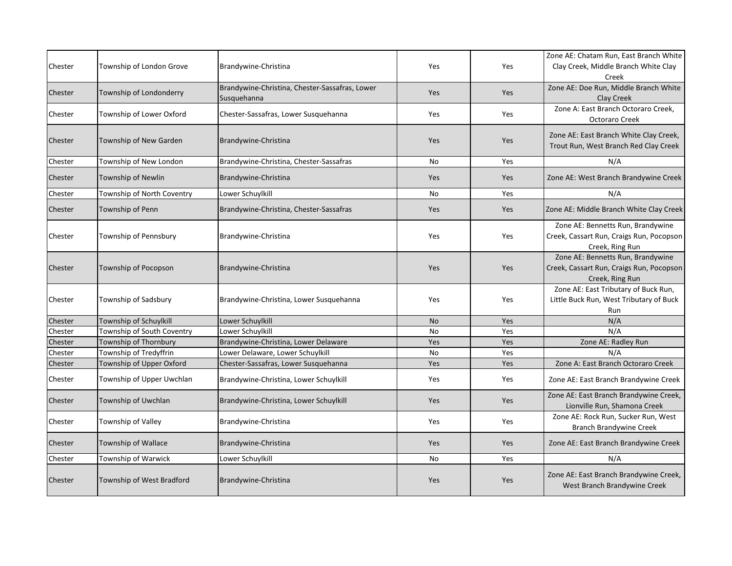|                    |                            |                                                |           |            | Zone AE: Chatam Run, East Branch White   |
|--------------------|----------------------------|------------------------------------------------|-----------|------------|------------------------------------------|
| Chester            | Township of London Grove   | Brandywine-Christina                           | Yes       | Yes        | Clay Creek, Middle Branch White Clay     |
|                    |                            |                                                |           |            | Creek                                    |
| Chester            |                            | Brandywine-Christina, Chester-Sassafras, Lower |           |            | Zone AE: Doe Run, Middle Branch White    |
|                    | Township of Londonderry    | Susquehanna                                    | Yes       | Yes        | Clay Creek                               |
| Chester            | Township of Lower Oxford   | Chester-Sassafras, Lower Susquehanna           | Yes       | Yes        | Zone A: East Branch Octoraro Creek,      |
|                    |                            |                                                |           |            | Octoraro Creek                           |
|                    |                            |                                                |           |            | Zone AE: East Branch White Clay Creek,   |
| Chester            | Township of New Garden     | Brandywine-Christina                           | Yes       | Yes        | Trout Run, West Branch Red Clay Creek    |
| Chester            | Township of New London     | Brandywine-Christina, Chester-Sassafras        | No        | Yes        | N/A                                      |
| Chester            | Township of Newlin         | Brandywine-Christina                           | Yes       | Yes        | Zone AE: West Branch Brandywine Creek    |
|                    |                            |                                                |           |            |                                          |
| Chester            | Township of North Coventry | Lower Schuylkill                               | No        | Yes        | N/A                                      |
| Chester            | Township of Penn           | Brandywine-Christina, Chester-Sassafras        | Yes       | <b>Yes</b> | Zone AE: Middle Branch White Clay Creek  |
|                    |                            |                                                |           |            | Zone AE: Bennetts Run, Brandywine        |
| Chester            | Township of Pennsbury      | Brandywine-Christina                           | Yes       | Yes        | Creek, Cassart Run, Craigs Run, Pocopson |
|                    |                            |                                                |           |            | Creek, Ring Run                          |
|                    |                            |                                                |           |            | Zone AE: Bennetts Run, Brandywine        |
| Chester            | Township of Pocopson       | Brandywine-Christina                           | Yes       | Yes        | Creek, Cassart Run, Craigs Run, Pocopson |
|                    |                            |                                                |           |            | Creek, Ring Run                          |
|                    |                            |                                                |           |            | Zone AE: East Tributary of Buck Run,     |
| Chester            | Township of Sadsbury       | Brandywine-Christina, Lower Susquehanna        | Yes       | Yes        | Little Buck Run, West Tributary of Buck  |
|                    | Township of Schuylkill     |                                                | <b>No</b> |            | Run<br>N/A                               |
| Chester<br>Chester | Township of South Coventry | Lower Schuylkill<br>Lower Schuylkill           | No        | Yes<br>Yes | N/A                                      |
| Chester            | Township of Thornbury      | Brandywine-Christina, Lower Delaware           | Yes       | Yes        | Zone AE: Radley Run                      |
| Chester            | Township of Tredyffrin     | Lower Delaware, Lower Schuylkill               | <b>No</b> | Yes        | N/A                                      |
| Chester            | Township of Upper Oxford   | Chester-Sassafras, Lower Susquehanna           | Yes       | Yes        | Zone A: East Branch Octoraro Creek       |
|                    |                            |                                                |           |            |                                          |
| Chester            | Township of Upper Uwchlan  | Brandywine-Christina, Lower Schuylkill         | Yes       | Yes        | Zone AE: East Branch Brandywine Creek    |
| Chester            | Township of Uwchlan        | Brandywine-Christina, Lower Schuylkill         | Yes       | Yes        | Zone AE: East Branch Brandywine Creek,   |
|                    |                            |                                                |           |            | Lionville Run, Shamona Creek             |
| Chester            | Township of Valley         | Brandywine-Christina                           | Yes       | Yes        | Zone AE: Rock Run, Sucker Run, West      |
|                    |                            |                                                |           |            | <b>Branch Brandywine Creek</b>           |
| Chester            | Township of Wallace        | Brandywine-Christina                           | Yes       | Yes        | Zone AE: East Branch Brandywine Creek    |
| Chester            | Township of Warwick        | Lower Schuylkill                               | <b>No</b> | <b>Yes</b> | N/A                                      |
|                    |                            |                                                |           |            | Zone AE: East Branch Brandywine Creek,   |
| Chester            | Township of West Bradford  | Brandywine-Christina                           | Yes       | Yes        | West Branch Brandywine Creek             |
|                    |                            |                                                |           |            |                                          |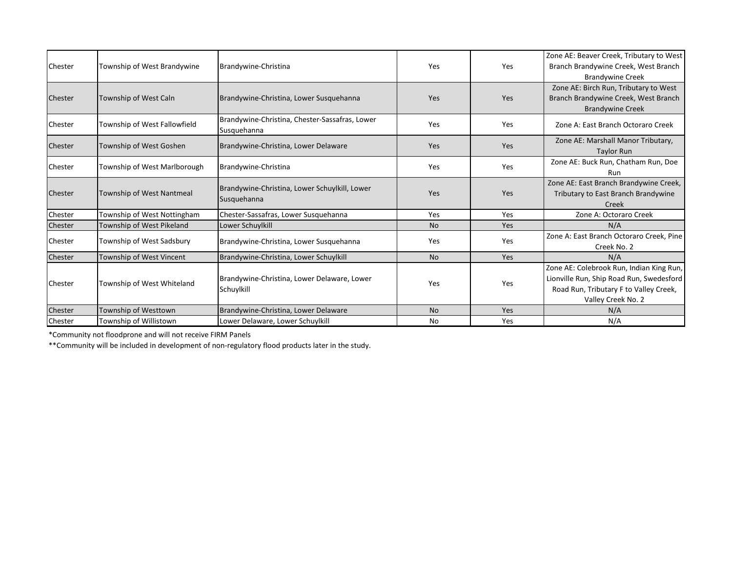| Chester | Township of West Brandywine  | Brandywine-Christina                                          | Yes       | Yes        | Zone AE: Beaver Creek, Tributary to West<br>Branch Brandywine Creek, West Branch<br><b>Brandywine Creek</b>                                          |
|---------|------------------------------|---------------------------------------------------------------|-----------|------------|------------------------------------------------------------------------------------------------------------------------------------------------------|
| Chester | Township of West Caln        | Brandywine-Christina, Lower Susquehanna                       | Yes       | Yes        | Zone AE: Birch Run, Tributary to West<br>Branch Brandywine Creek, West Branch<br><b>Brandywine Creek</b>                                             |
| Chester | Township of West Fallowfield | Brandywine-Christina, Chester-Sassafras, Lower<br>Susquehanna | Yes       | Yes        | Zone A: East Branch Octoraro Creek                                                                                                                   |
| Chester | Township of West Goshen      | Brandywine-Christina, Lower Delaware                          | Yes       | Yes        | Zone AE: Marshall Manor Tributary,<br><b>Taylor Run</b>                                                                                              |
| Chester | Township of West Marlborough | Brandywine-Christina                                          | Yes       | Yes        | Zone AE: Buck Run, Chatham Run, Doe<br>Run                                                                                                           |
| Chester | Township of West Nantmeal    | Brandywine-Christina, Lower Schuylkill, Lower<br>Susquehanna  | Yes       | Yes        | Zone AE: East Branch Brandywine Creek,<br>Tributary to East Branch Brandywine<br>Creek                                                               |
| Chester | Township of West Nottingham  | Chester-Sassafras, Lower Susquehanna                          | Yes       | Yes        | Zone A: Octoraro Creek                                                                                                                               |
| Chester | Township of West Pikeland    | Lower Schuylkill                                              | <b>No</b> | <b>Yes</b> | N/A                                                                                                                                                  |
| Chester | Township of West Sadsbury    | Brandywine-Christina, Lower Susquehanna                       | Yes       | Yes        | Zone A: East Branch Octoraro Creek, Pine<br>Creek No. 2                                                                                              |
| Chester | Township of West Vincent     | Brandywine-Christina, Lower Schuylkill                        | <b>No</b> | <b>Yes</b> | N/A                                                                                                                                                  |
| Chester | Township of West Whiteland   | Brandywine-Christina, Lower Delaware, Lower<br>Schuylkill     | Yes       | Yes        | Zone AE: Colebrook Run, Indian King Run,<br>Lionville Run, Ship Road Run, Swedesford<br>Road Run, Tributary F to Valley Creek,<br>Valley Creek No. 2 |
| Chester | Township of Westtown         | Brandywine-Christina, Lower Delaware                          | <b>No</b> | <b>Yes</b> | N/A                                                                                                                                                  |
| Chester | Township of Willistown       | Lower Delaware, Lower Schuylkill                              | No        | Yes        | N/A                                                                                                                                                  |

\*Community not floodprone and will not receive FIRM Panels

\*\*Community will be included in development of non-regulatory flood products later in the study.